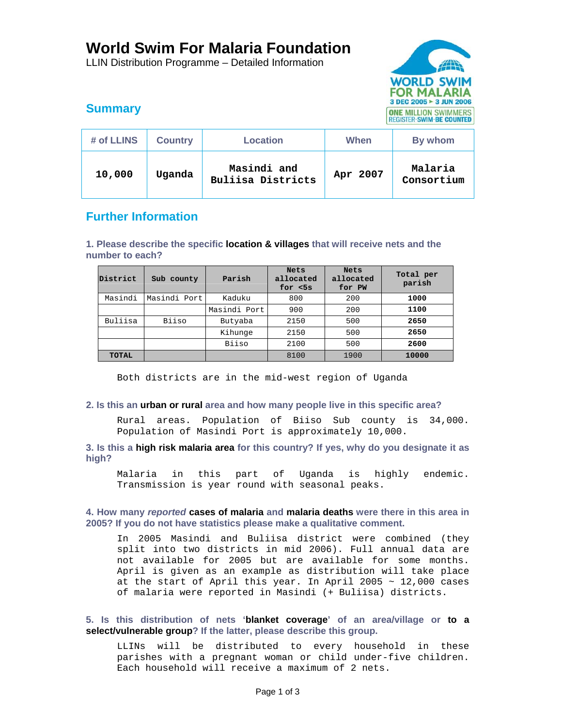# **World Swim For Malaria Foundation**

LLIN Distribution Programme – Detailed Information



# **Summary**

| # of LLINS | <b>Country</b> | <b>Location</b>                  | When     | By whom               |
|------------|----------------|----------------------------------|----------|-----------------------|
| 10,000     | Uqanda         | Masindi and<br>Buliisa Districts | Apr 2007 | Malaria<br>Consortium |

# **Further Information**

**1. Please describe the specific location & villages that will receive nets and the number to each?** 

| District     | Sub county   | Parish       | <b>Nets</b><br>allocated<br>for $<$ 5 $s$ | <b>Nets</b><br>allocated<br>for PW | Total per<br>parish |
|--------------|--------------|--------------|-------------------------------------------|------------------------------------|---------------------|
| Masindi      | Masindi Port | Kaduku       | 800                                       | 200                                | 1000                |
|              |              | Masindi Port | 900                                       | 200                                | 1100                |
| Buliisa      | Biiso        | Butyaba      | 2150                                      | 500                                | 2650                |
|              |              | Kihunge      | 2150                                      | 500                                | 2650                |
|              |              | Biiso        | 2100                                      | 500                                | 2600                |
| <b>TOTAL</b> |              |              | 8100                                      | 1900                               | 10000               |

Both districts are in the mid-west region of Uganda

## **2. Is this an urban or rural area and how many people live in this specific area?**

Rural areas. Population of Biiso Sub county is 34,000. Population of Masindi Port is approximately 10,000.

## **3. Is this a high risk malaria area for this country? If yes, why do you designate it as high?**

Malaria in this part of Uganda is highly endemic. Transmission is year round with seasonal peaks.

## **4. How many** *reported* **cases of malaria and malaria deaths were there in this area in 2005? If you do not have statistics please make a qualitative comment.**

In 2005 Masindi and Buliisa district were combined (they split into two districts in mid 2006). Full annual data are not available for 2005 but are available for some months. April is given as an example as distribution will take place at the start of April this year. In April 2005  $\sim$  12,000 cases of malaria were reported in Masindi (+ Buliisa) districts.

## **5. Is this distribution of nets 'blanket coverage' of an area/village or to a select/vulnerable group? If the latter, please describe this group.**

LLINs will be distributed to every household in these parishes with a pregnant woman or child under-five children. Each household will receive a maximum of 2 nets.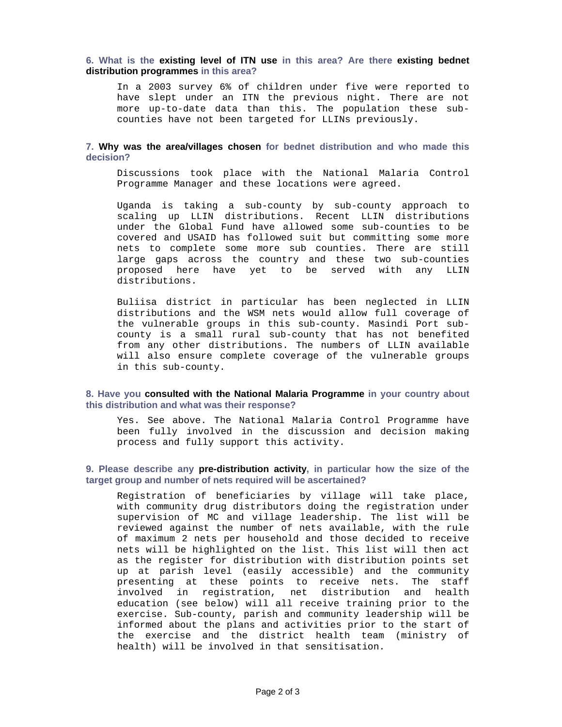#### **6. What is the existing level of ITN use in this area? Are there existing bednet distribution programmes in this area?**

In a 2003 survey 6% of children under five were reported to have slept under an ITN the previous night. There are not more up-to-date data than this. The population these subcounties have not been targeted for LLINs previously.

#### **7. Why was the area/villages chosen for bednet distribution and who made this decision?**

Discussions took place with the National Malaria Control Programme Manager and these locations were agreed.

Uganda is taking a sub-county by sub-county approach to scaling up LLIN distributions. Recent LLIN distributions under the Global Fund have allowed some sub-counties to be covered and USAID has followed suit but committing some more nets to complete some more sub counties. There are still large gaps across the country and these two sub-counties proposed here have yet to be served with any LLIN distributions.

Buliisa district in particular has been neglected in LLIN distributions and the WSM nets would allow full coverage of the vulnerable groups in this sub-county. Masindi Port subcounty is a small rural sub-county that has not benefited from any other distributions. The numbers of LLIN available will also ensure complete coverage of the vulnerable groups in this sub-county.

#### **8. Have you consulted with the National Malaria Programme in your country about this distribution and what was their response?**

Yes. See above. The National Malaria Control Programme have been fully involved in the discussion and decision making process and fully support this activity.

#### **9. Please describe any pre-distribution activity, in particular how the size of the target group and number of nets required will be ascertained?**

Registration of beneficiaries by village will take place, with community drug distributors doing the registration under supervision of MC and village leadership. The list will be reviewed against the number of nets available, with the rule of maximum 2 nets per household and those decided to receive nets will be highlighted on the list. This list will then act as the register for distribution with distribution points set up at parish level (easily accessible) and the community presenting at these points to receive nets. The staff involved in registration, net distribution and health education (see below) will all receive training prior to the exercise. Sub-county, parish and community leadership will be informed about the plans and activities prior to the start of the exercise and the district health team (ministry of health) will be involved in that sensitisation.